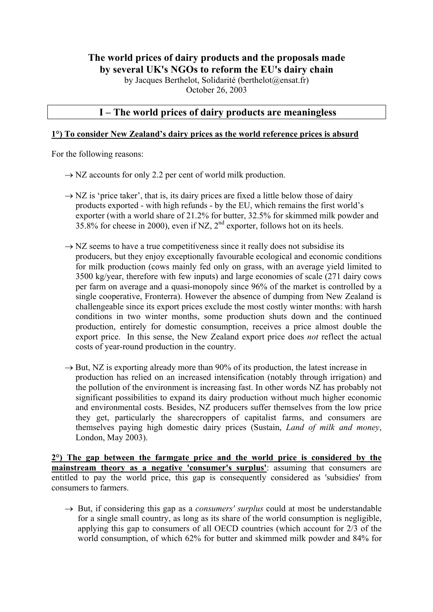# **The world prices of dairy products and the proposals made by several UK's NGOs to reform the EU's dairy chain**

by Jacques Berthelot, Solidarité (berthelot@ensat.fr) October 26, 2003

# **I – The world prices of dairy products are meaningless**

### **1°) To consider New Zealand's dairy prices as the world reference prices is absurd**

For the following reasons:

- $\rightarrow$  NZ accounts for only 2.2 per cent of world milk production.
- $\rightarrow$  NZ is 'price taker', that is, its dairy prices are fixed a little below those of dairy products exported - with high refunds - by the EU, which remains the first world's exporter (with a world share of 21.2% for butter, 32.5% for skimmed milk powder and 35.8% for cheese in 2000), even if NZ,  $2^{nd}$  exporter, follows hot on its heels.
- $\rightarrow$  NZ seems to have a true competitiveness since it really does not subsidise its producers, but they enjoy exceptionally favourable ecological and economic conditions for milk production (cows mainly fed only on grass, with an average yield limited to 3500 kg/year, therefore with few inputs) and large economies of scale (271 dairy cows per farm on average and a quasi-monopoly since 96% of the market is controlled by a single cooperative, Fronterra). However the absence of dumping from New Zealand is challengeable since its export prices exclude the most costly winter months: with harsh conditions in two winter months, some production shuts down and the continued production, entirely for domestic consumption, receives a price almost double the export price. In this sense, the New Zealand export price does *not* reflect the actual costs of year-round production in the country.
- $\rightarrow$  But, NZ is exporting already more than 90% of its production, the latest increase in production has relied on an increased intensification (notably through irrigation) and the pollution of the environment is increasing fast. In other words NZ has probably not significant possibilities to expand its dairy production without much higher economic and environmental costs. Besides, NZ producers suffer themselves from the low price they get, particularly the sharecroppers of capitalist farms, and consumers are themselves paying high domestic dairy prices (Sustain, *Land of milk and money*, London, May 2003).

**2°) The gap between the farmgate price and the world price is considered by the mainstream theory as a negative 'consumer's surplus'**: assuming that consumers are entitled to pay the world price, this gap is consequently considered as 'subsidies' from consumers to farmers.

 $\rightarrow$  But, if considering this gap as a *consumers' surplus* could at most be understandable for a single small country, as long as its share of the world consumption is negligible, applying this gap to consumers of all OECD countries (which account for 2/3 of the world consumption, of which 62% for butter and skimmed milk powder and 84% for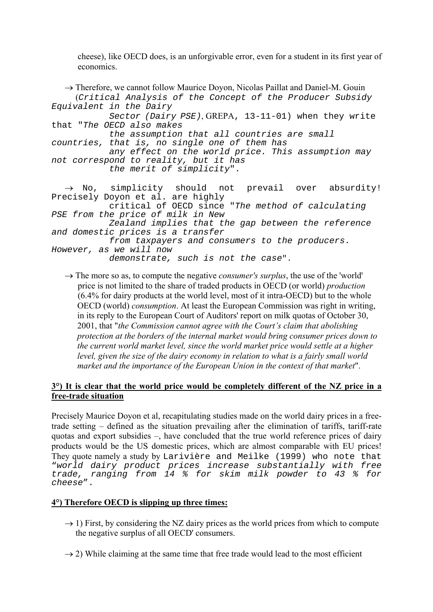cheese), like OECD does, is an unforgivable error, even for a student in its first year of economics.

```
\rightarrow Therefore, we cannot follow Maurice Doyon, Nicolas Paillat and Daniel-M. Gouin
      (Critical Analysis of the Concept of the Producer Subsidy
Equivalent in the Dairy 
             Sector (Dairy PSE), GREPA, 13-11-01) when they write 
that "The OECD also makes 
             the assumption that all countries are small 
countries, that is, no single one of them has 
             any effect on the world price. This assumption may 
not correspond to reality, but it has 
             the merit of simplicity". 
  \rightarrow No, simplicity should not prevail over absurdity!
Precisely Doyon et al. are highly 
             critical of OECD since "The method of calculating 
PSE from the price of milk in New 
             Zealand implies that the gap between the reference 
and domestic prices is a transfer 
             from taxpayers and consumers to the producers. 
However, as we will now
```
demonstrate, such is not the case".

 $\rightarrow$  The more so as, to compute the negative *consumer's surplus*, the use of the 'world' price is not limited to the share of traded products in OECD (or world) *production* (6.4% for dairy products at the world level, most of it intra-OECD) but to the whole OECD (world) *consumption*. At least the European Commission was right in writing, in its reply to the European Court of Auditors' report on milk quotas of October 30, 2001, that "*the Commission cannot agree with the Court's claim that abolishing protection at the borders of the internal market would bring consumer prices down to the current world market level, since the world market price would settle at a higher level, given the size of the dairy economy in relation to what is a fairly small world market and the importance of the European Union in the context of that market*".

# **3°) It is clear that the world price would be completely different of the NZ price in a free-trade situation**

Precisely Maurice Doyon et al, recapitulating studies made on the world dairy prices in a freetrade setting – defined as the situation prevailing after the elimination of tariffs, tariff-rate quotas and export subsidies –, have concluded that the true world reference prices of dairy products would be the US domestic prices, which are almost comparable with EU prices! They quote namely a study by Larivière and Meilke (1999) who note that "world dairy product prices increase substantially with free trade, ranging from 14 % for skim milk powder to 43 % for cheese".

# **4°) Therefore OECD is slipping up three times:**

- $\rightarrow$  1) First, by considering the NZ dairy prices as the world prices from which to compute the negative surplus of all OECD' consumers.
- $\rightarrow$  2) While claiming at the same time that free trade would lead to the most efficient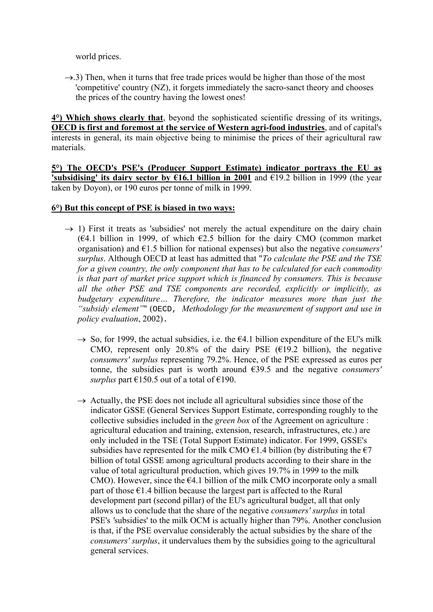world prices.

 $\rightarrow$ .3) Then, when it turns that free trade prices would be higher than those of the most 'competitive' country (NZ), it forgets immediately the sacro-sanct theory and chooses the prices of the country having the lowest ones!

**4°) Which shows clearly that**, beyond the sophisticated scientific dressing of its writings, **OECD is first and foremost at the service of Western agri-food industries**, and of capital's interests in general, its main objective being to minimise the prices of their agricultural raw materials.

**5°) The OECD's PSE's (Producer Support Estimate) indicator portrays the EU as 'subsidising' its dairy sector by €16.1 billion in 2001** and €19.2 billion in 1999 (the year taken by Doyon), or 190 euros per tonne of milk in 1999.

#### **6°) But this concept of PSE is biased in two ways:**

- $\rightarrow$  1) First it treats as 'subsidies' not merely the actual expenditure on the dairy chain (€4.1 billion in 1999, of which €2.5 billion for the dairy CMO (common market organisation) and €1.5 billion for national expenses) but also the negative *consumers' surplus*. Although OECD at least has admitted that "*To calculate the PSE and the TSE for a given country, the only component that has to be calculated for each commodity is that part of market price support which is financed by consumers. This is because all the other PSE and TSE components are recorded, explicitly or implicitly, as budgetary expenditure… Therefore, the indicator measures more than just the "subsidy element"*" (OECD, *Methodology for the measurement of support and use in policy evaluation*, 2002).
	- $\rightarrow$  So, for 1999, the actual subsidies, i.e. the  $\epsilon$ 4.1 billion expenditure of the EU's milk CMO, represent only 20.8% of the dairy PSE  $(E19.2)$  billion), the negative *consumers' surplus* representing 79.2%. Hence, of the PSE expressed as euros per tonne, the subsidies part is worth around €39.5 and the negative *consumers' surplus* part  $\epsilon$ 150.5 out of a total of  $\epsilon$ 190.
	- $\rightarrow$  Actually, the PSE does not include all agricultural subsidies since those of the indicator GSSE (General Services Support Estimate, corresponding roughly to the collective subsidies included in the *green box* of the Agreement on agriculture : agricultural education and training, extension, research, infrastructures, etc.) are only included in the TSE (Total Support Estimate) indicator. For 1999, GSSE's subsidies have represented for the milk CMO  $\epsilon$ 1.4 billion (by distributing the  $\epsilon$ 7 billion of total GSSE among agricultural products according to their share in the value of total agricultural production, which gives 19.7% in 1999 to the milk CMO). However, since the  $64.1$  billion of the milk CMO incorporate only a small part of those  $\epsilon$ 1.4 billion because the largest part is affected to the Rural development part (second pillar) of the EU's agricultural budget, all that only allows us to conclude that the share of the negative *consumers' surplus* in total PSE's *'*subsidies' to the milk OCM is actually higher than 79%. Another conclusion is that, if the PSE overvalue considerably the actual subsidies by the share of the *consumers' surplus*, it undervalues them by the subsidies going to the agricultural general services.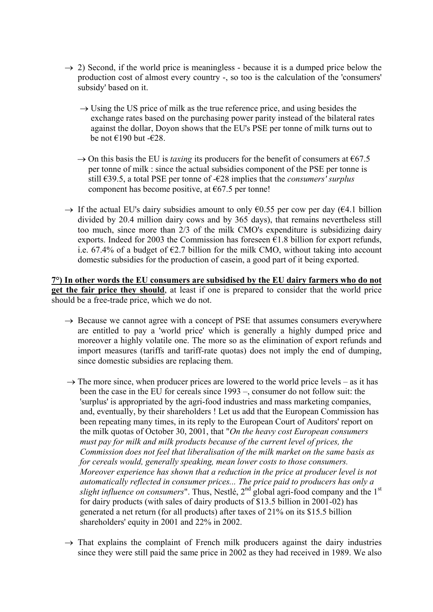- $\rightarrow$  2) Second, if the world price is meaningless because it is a dumped price below the production cost of almost every country -, so too is the calculation of the 'consumers' subsidy' based on it.
	- $\rightarrow$  Using the US price of milk as the true reference price, and using besides the exchange rates based on the purchasing power parity instead of the bilateral rates against the dollar, Doyon shows that the EU's PSE per tonne of milk turns out to be not  $\text{\textsterling}190$  but - $\text{\textsterling}28$ .
	- $\rightarrow$  On this basis the EU is *taxing* its producers for the benefit of consumers at  $\epsilon$ 67.5 per tonne of milk : since the actual subsidies component of the PSE per tonne is still €39.5, a total PSE per tonne of -€28 implies that the *consumers' surplus* component has become positive, at  $\epsilon$ 67.5 per tonne!
- $\rightarrow$  If the actual EU's dairy subsidies amount to only  $\epsilon$ 0.55 per cow per day ( $\epsilon$ 4.1 billion divided by 20.4 million dairy cows and by 365 days), that remains nevertheless still too much, since more than 2/3 of the milk CMO's expenditure is subsidizing dairy exports. Indeed for 2003 the Commission has foreseen  $\epsilon$ 1.8 billion for export refunds, i.e. 67.4% of a budget of  $E2.7$  billion for the milk CMO, without taking into account domestic subsidies for the production of casein, a good part of it being exported.

**7°) In other words the EU consumers are subsidised by the EU dairy farmers who do not get the fair price they should**, at least if one is prepared to consider that the world price should be a free-trade price, which we do not.

- $\rightarrow$  Because we cannot agree with a concept of PSE that assumes consumers everywhere are entitled to pay a 'world price' which is generally a highly dumped price and moreover a highly volatile one. The more so as the elimination of export refunds and import measures (tariffs and tariff-rate quotas) does not imply the end of dumping, since domestic subsidies are replacing them.
- $\rightarrow$  The more since, when producer prices are lowered to the world price levels as it has been the case in the EU for cereals since 1993 –, consumer do not follow suit: the 'surplus' is appropriated by the agri-food industries and mass marketing companies, and, eventually, by their shareholders ! Let us add that the European Commission has been repeating many times, in its reply to the European Court of Auditors' report on the milk quotas of October 30, 2001, that "*On the heavy cost European consumers must pay for milk and milk products because of the current level of prices, the Commission does not feel that liberalisation of the milk market on the same basis as for cereals would, generally speaking, mean lower costs to those consumers. Moreover experience has shown that a reduction in the price at producer level is not automatically reflected in consumer prices... The price paid to producers has only a slight influence on consumers*". Thus, Nestlé, 2<sup>nd</sup> global agri-food company and the 1<sup>st</sup> for dairy products (with sales of dairy products of \$13.5 billion in 2001-02) has generated a net return (for all products) after taxes of 21% on its \$15.5 billion shareholders' equity in 2001 and 22% in 2002.
	- $\rightarrow$  That explains the complaint of French milk producers against the dairy industries since they were still paid the same price in 2002 as they had received in 1989. We also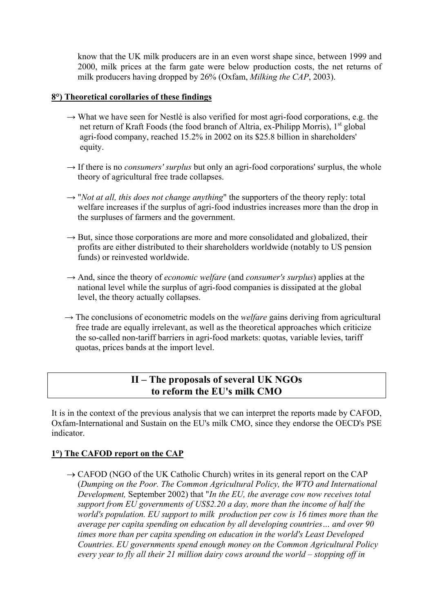know that the UK milk producers are in an even worst shape since, between 1999 and 2000, milk prices at the farm gate were below production costs, the net returns of milk producers having dropped by 26% (Oxfam, *Milking the CAP*, 2003).

#### **8°) Theoretical corollaries of these findings**

- $\rightarrow$  What we have seen for Nestlé is also verified for most agri-food corporations, e.g. the net return of Kraft Foods (the food branch of Altria, ex-Philipp Morris), 1<sup>st</sup> global agri-food company, reached 15.2% in 2002 on its \$25.8 billion in shareholders' equity.
- $\rightarrow$  If there is no *consumers' surplus* but only an agri-food corporations' surplus, the whole theory of agricultural free trade collapses.
- $\rightarrow$  "*Not at all, this does not change anything*" the supporters of the theory reply: total welfare increases if the surplus of agri-food industries increases more than the drop in the surpluses of farmers and the government.
- $\rightarrow$  But, since those corporations are more and more consolidated and globalized, their profits are either distributed to their shareholders worldwide (notably to US pension funds) or reinvested worldwide.
- → And, since the theory of *economic welfare* (and *consumer's surplus*) applies at the national level while the surplus of agri-food companies is dissipated at the global level, the theory actually collapses.
- $\rightarrow$  The conclusions of econometric models on the *welfare* gains deriving from agricultural free trade are equally irrelevant, as well as the theoretical approaches which criticize the so-called non-tariff barriers in agri-food markets: quotas, variable levies, tariff quotas, prices bands at the import level.

# **II – The proposals of several UK NGOs to reform the EU's milk CMO**

It is in the context of the previous analysis that we can interpret the reports made by CAFOD, Oxfam-International and Sustain on the EU's milk CMO, since they endorse the OECD's PSE indicator.

# **1°) The CAFOD report on the CAP**

 $\rightarrow$  CAFOD (NGO of the UK Catholic Church) writes in its general report on the CAP (*Dumping on the Poor. The Common Agricultural Policy, the WTO and International Development,* September 2002) that "*In the EU, the average cow now receives total support from EU governments of US\$2.20 a day, more than the income of half the world's population. EU support to milk production per cow is 16 times more than the average per capita spending on education by all developing countries… and over 90 times more than per capita spending on education in the world's Least Developed Countries. EU governments spend enough money on the Common Agricultural Policy every year to fly all their 21 million dairy cows around the world – stopping off in*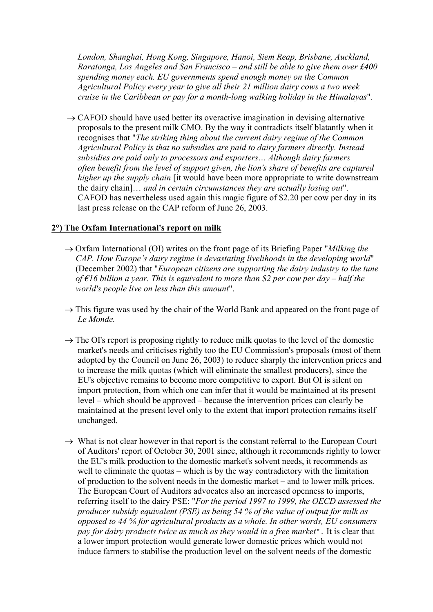*London, Shanghai, Hong Kong, Singapore, Hanoi, Siem Reap, Brisbane, Auckland, Raratonga, Los Angeles and San Francisco – and still be able to give them over £400 spending money each. EU governments spend enough money on the Common Agricultural Policy every year to give all their 21 million dairy cows a two week cruise in the Caribbean or pay for a month-long walking holiday in the Himalayas*".

 $\rightarrow$  CAFOD should have used better its overactive imagination in devising alternative proposals to the present milk CMO. By the way it contradicts itself blatantly when it recognises that "*The striking thing about the current dairy regime of the Common Agricultural Policy is that no subsidies are paid to dairy farmers directly. Instead subsidies are paid only to processors and exporters… Although dairy farmers often benefit from the level of support given, the lion's share of benefits are captured higher up the supply chain* [it would have been more appropriate to write downstream the dairy chain]… *and in certain circumstances they are actually losing out*". CAFOD has nevertheless used again this magic figure of \$2.20 per cow per day in its last press release on the CAP reform of June 26, 2003.

#### **2°) The Oxfam International's report on milk**

- → Oxfam International (OI) writes on the front page of its Briefing Paper "*Milking the CAP. How Europe's dairy regime is devastating livelihoods in the developing world*" (December 2002) that "*European citizens are supporting the dairy industry to the tune of €16 billion a year. This is equivalent to more than \$2 per cow per day – half the world's people live on less than this amount*".
- $\rightarrow$  This figure was used by the chair of the World Bank and appeared on the front page of *Le Monde.*
- $\rightarrow$  The OI's report is proposing rightly to reduce milk quotas to the level of the domestic market's needs and criticises rightly too the EU Commission's proposals (most of them adopted by the Council on June 26, 2003) to reduce sharply the intervention prices and to increase the milk quotas (which will eliminate the smallest producers), since the EU's objective remains to become more competitive to export. But OI is silent on import protection, from which one can infer that it would be maintained at its present level – which should be approved – because the intervention prices can clearly be maintained at the present level only to the extent that import protection remains itself unchanged.
- $\rightarrow$  What is not clear however in that report is the constant referral to the European Court of Auditors' report of October 30, 2001 since, although it recommends rightly to lower the EU's milk production to the domestic market's solvent needs, it recommends as well to eliminate the quotas – which is by the way contradictory with the limitation of production to the solvent needs in the domestic market – and to lower milk prices. The European Court of Auditors advocates also an increased openness to imports, referring itself to the dairy PSE: "*For the period 1997 to 1999, the OECD assessed the producer subsidy equivalent (PSE) as being 54 % of the value of output for milk as opposed to 44 % for agricultural products as a whole. In other words, EU consumers pay for dairy products twice as much as they would in a free market*". It is clear that a lower import protection would generate lower domestic prices which would not induce farmers to stabilise the production level on the solvent needs of the domestic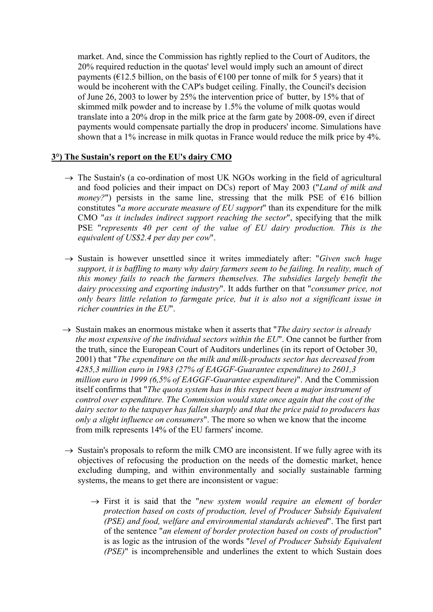market. And, since the Commission has rightly replied to the Court of Auditors, the 20% required reduction in the quotas' level would imply such an amount of direct payments ( $\epsilon$ 12.5 billion, on the basis of  $\epsilon$ 100 per tonne of milk for 5 years) that it would be incoherent with the CAP's budget ceiling. Finally, the Council's decision of June 26, 2003 to lower by 25% the intervention price of butter, by 15% that of skimmed milk powder and to increase by 1.5% the volume of milk quotas would translate into a 20% drop in the milk price at the farm gate by 2008-09, even if direct payments would compensate partially the drop in producers' income. Simulations have shown that a 1% increase in milk quotas in France would reduce the milk price by 4%.

#### **3°) The Sustain's report on the EU's dairy CMO**

- $\rightarrow$  The Sustain's (a co-ordination of most UK NGOs working in the field of agricultural and food policies and their impact on DCs) report of May 2003 ("*Land of milk and money?*") persists in the same line, stressing that the milk PSE of  $\epsilon$ 16 billion constitutes "*a more accurate measure of EU support*" than its expenditure for the milk CMO "*as it includes indirect support reaching the sector*", specifying that the milk PSE "*represents 40 per cent of the value of EU dairy production. This is the equivalent of US\$2.4 per day per cow*".
- → Sustain is however unsettled since it writes immediately after: "*Given such huge support, it is baffling to many why dairy farmers seem to be failing. In reality, much of this money fails to reach the farmers themselves. The subsidies largely benefit the dairy processing and exporting industry*". It adds further on that "*consumer price, not only bears little relation to farmgate price, but it is also not a significant issue in richer countries in the EU*".
- → Sustain makes an enormous mistake when it asserts that "*The dairy sector is already the most expensive of the individual sectors within the EU*". One cannot be further from the truth, since the European Court of Auditors underlines (in its report of October 30, 2001) that "*The expenditure on the milk and milk-products sector has decreased from 4285,3 million euro in 1983 (27% of EAGGF-Guarantee expenditure) to 2601,3 million euro in 1999 (6,5% of EAGGF-Guarantee expenditure)*". And the Commission itself confirms that "*The quota system has in this respect been a major instrument of control over expenditure. The Commission would state once again that the cost of the dairy sector to the taxpayer has fallen sharply and that the price paid to producers has only a slight influence on consumers*". The more so when we know that the income from milk represents 14% of the EU farmers' income.
- $\rightarrow$  Sustain's proposals to reform the milk CMO are inconsistent. If we fully agree with its objectives of refocusing the production on the needs of the domestic market, hence excluding dumping, and within environmentally and socially sustainable farming systems, the means to get there are inconsistent or vague:
	- → First it is said that the "*new system would require an element of border protection based on costs of production, level of Producer Subsidy Equivalent (PSE) and food, welfare and environmental standards achieved*". The first part of the sentence "*an element of border protection based on costs of production*" is as logic as the intrusion of the words "*level of Producer Subsidy Equivalent (PSE)*" is incomprehensible and underlines the extent to which Sustain does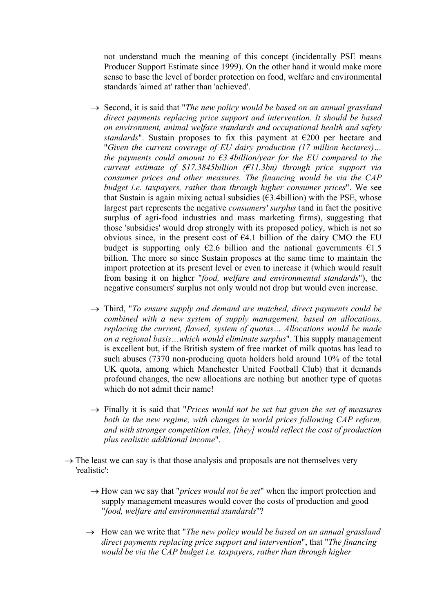not understand much the meaning of this concept (incidentally PSE means Producer Support Estimate since 1999). On the other hand it would make more sense to base the level of border protection on food, welfare and environmental standards 'aimed at' rather than 'achieved'.

- → Second, it is said that "*The new policy would be based on an annual grassland direct payments replacing price support and intervention. It should be based on environment, animal welfare standards and occupational health and safety standards*". Sustain proposes to fix this payment at €200 per hectare and "*Given the current coverage of EU dairy production (17 million hectares)… the payments could amount to*  $\epsilon$ *3.4billion/year for the EU compared to the current estimate of \$17.3845billion (€11.3bn) through price support via consumer prices and other measures. The financing would be via the CAP budget i.e. taxpayers, rather than through higher consumer prices*". We see that Sustain is again mixing actual subsidies ( $\epsilon$ 3.4billion) with the PSE, whose largest part represents the negative *consumers' surplus* (and in fact the positive surplus of agri-food industries and mass marketing firms), suggesting that those 'subsidies' would drop strongly with its proposed policy, which is not so obvious since, in the present cost of  $E4.1$  billion of the dairy CMO the EU budget is supporting only  $\epsilon$ 2.6 billion and the national governments  $\epsilon$ 1.5 billion. The more so since Sustain proposes at the same time to maintain the import protection at its present level or even to increase it (which would result from basing it on higher "*food, welfare and environmental standards*"), the negative consumers' surplus not only would not drop but would even increase.
- → Third, "*To ensure supply and demand are matched, direct payments could be combined with a new system of supply management, based on allocations, replacing the current, flawed, system of quotas… Allocations would be made on a regional basis…which would eliminate surplus*". This supply management is excellent but, if the British system of free market of milk quotas has lead to such abuses (7370 non-producing quota holders hold around 10% of the total UK quota, among which Manchester United Football Club) that it demands profound changes, the new allocations are nothing but another type of quotas which do not admit their name!
- → Finally it is said that "*Prices would not be set but given the set of measures both in the new regime, with changes in world prices following CAP reform, and with stronger competition rules, [they] would reflect the cost of production plus realistic additional income*".
- $\rightarrow$  The least we can say is that those analysis and proposals are not themselves very 'realistic':
	- $\rightarrow$  How can we say that "*prices would not be set*" when the import protection and supply management measures would cover the costs of production and good "*food, welfare and environmental standards*"?
	- → How can we write that "*The new policy would be based on an annual grassland direct payments replacing price support and intervention*", that "*The financing would be via the CAP budget i.e. taxpayers, rather than through higher*